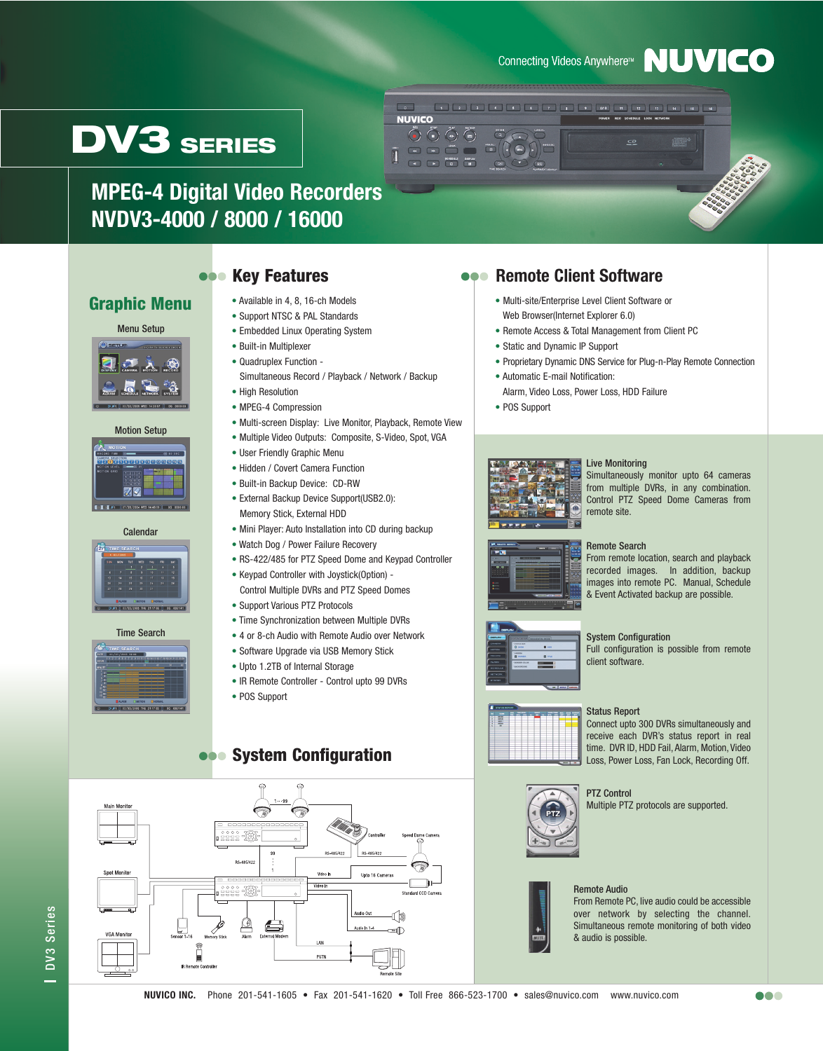## Connecting Videos Anywhere™ NUVICO

**1** 2 3 4 5 6 7 8 9 9 00 1 2 3 4 5 6



**MPEG-4 Digital Video Recorders NVDV3-4000 / 8000 / 16000**

## **Graphic Menu**

#### Menu Setup





#### **Calendar**



#### Time Search



## **Rey Features**

- Available in 4, 8, 16-ch Models
- Support NTSC & PAL Standards
- Embedded Linux Operating System
- Built-in Multiplexer
- Quadruplex Function Simultaneous Record / Playback / Network / Backup
- High Resolution
- MPEG-4 Compression
- Multi-screen Display: Live Monitor, Playback, Remote View

 $\overline{\phantom{0}}$ **NUVICO** 

> $\odot$   $\odot$   $\odot$   $\odot$

- Multiple Video Outputs: Composite, S-Video, Spot, VGA
- User Friendly Graphic Menu
- Hidden / Covert Camera Function
- Built-in Backup Device: CD-RW
- External Backup Device Support(USB2.0): Memory Stick, External HDD
- Mini Player: Auto Installation into CD during backup
- Watch Dog / Power Failure Recovery
- RS-422/485 for PTZ Speed Dome and Keypad Controller
- Keypad Controller with Joystick(Option) Control Multiple DVRs and PTZ Speed Domes
- Support Various PTZ Protocols
- Time Synchronization between Multiple DVRs
- 4 or 8-ch Audio with Remote Audio over Network
- Software Upgrade via USB Memory Stick
- Upto 1.2TB of Internal Storage
- IR Remote Controller Control upto 99 DVRs
- POS Support

## **System Configuration**



## **Remote Client Software**

- Multi-site/Enterprise Level Client Software or Web Browser(Internet Explorer 6.0)
- Remote Access & Total Management from Client PC
- Static and Dynamic IP Support
- Proprietary Dynamic DNS Service for Plug-n-Play Remote Connection
- Automatic E-mail Notification: Alarm, Video Loss, Power Loss, HDD Failure
- POS Support

 $\bigcirc$ 



#### Live Monitoring

Simultaneously monitor upto 64 cameras from multiple DVRs, in any combination. Control PTZ Speed Dome Cameras from remote site.



recorded images. In addition, backup images into remote PC. Manual, Schedule & Event Activated backup are possible.



#### System Configuration

Full configuration is possible from remote client software.

### Status Report

Connect upto 300 DVRs simultaneously and receive each DVR's status report in real time. DVR ID, HDD Fail, Alarm, Motion, Video Loss, Power Loss, Fan Lock, Recording Off.



## PTZ Control

Multiple PTZ protocols are supported.



## Remote Audio

From Remote PC, live audio could be accessible over network by selecting the channel. Simultaneous remote monitoring of both video & audio is possible.